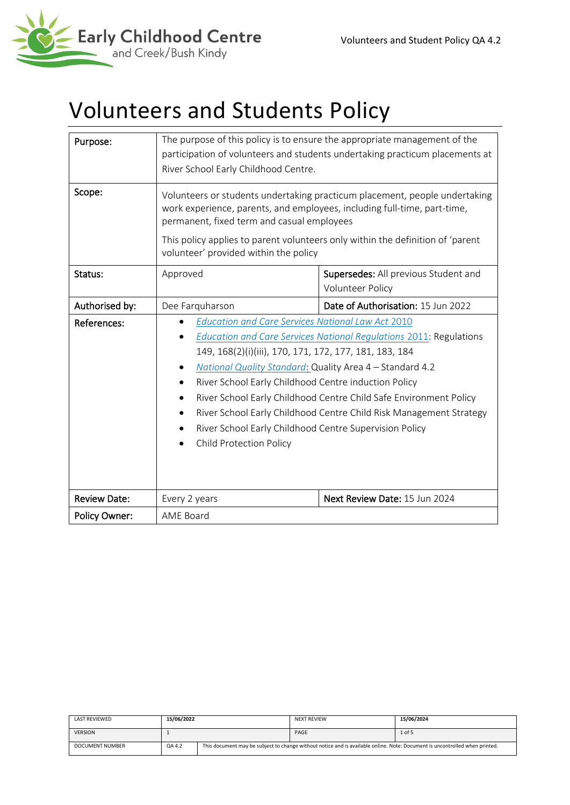

# Volunteers and Students Policy

| Purpose:             | The purpose of this policy is to ensure the appropriate management of the<br>participation of volunteers and students undertaking practicum placements at<br>River School Early Childhood Centre.                                                                                                                                                                                                                                                                                                                                                                                    |                                      |  |  |
|----------------------|--------------------------------------------------------------------------------------------------------------------------------------------------------------------------------------------------------------------------------------------------------------------------------------------------------------------------------------------------------------------------------------------------------------------------------------------------------------------------------------------------------------------------------------------------------------------------------------|--------------------------------------|--|--|
| Scope:               | Volunteers or students undertaking practicum placement, people undertaking<br>work experience, parents, and employees, including full-time, part-time,<br>permanent, fixed term and casual employees<br>This policy applies to parent volunteers only within the definition of 'parent<br>volunteer' provided within the policy                                                                                                                                                                                                                                                      |                                      |  |  |
| Status:              | Approved                                                                                                                                                                                                                                                                                                                                                                                                                                                                                                                                                                             | Supersedes: All previous Student and |  |  |
|                      |                                                                                                                                                                                                                                                                                                                                                                                                                                                                                                                                                                                      | <b>Volunteer Policy</b>              |  |  |
| Authorised by:       | Dee Farquharson                                                                                                                                                                                                                                                                                                                                                                                                                                                                                                                                                                      | Date of Authorisation: 15 Jun 2022   |  |  |
| References:          | <b>Education and Care Services National Law Act 2010</b><br><b>Education and Care Services National Regulations 2011: Regulations</b><br>149, 168(2)(i)(iii), 170, 171, 172, 177, 181, 183, 184<br>National Quality Standard: Quality Area 4 - Standard 4.2<br>$\bullet$<br>River School Early Childhood Centre induction Policy<br>River School Early Childhood Centre Child Safe Environment Policy<br>$\bullet$<br>River School Early Childhood Centre Child Risk Management Strategy<br>River School Early Childhood Centre Supervision Policy<br><b>Child Protection Policy</b> |                                      |  |  |
| <b>Review Date:</b>  | Next Review Date: 15 Jun 2024<br>Every 2 years                                                                                                                                                                                                                                                                                                                                                                                                                                                                                                                                       |                                      |  |  |
| <b>Policy Owner:</b> | AME Board                                                                                                                                                                                                                                                                                                                                                                                                                                                                                                                                                                            |                                      |  |  |

| LAST REVIEWED          | 15/06/2022 |                                                                                                                             | <b>NEXT REVIEW</b> | 15/06/2024 |
|------------------------|------------|-----------------------------------------------------------------------------------------------------------------------------|--------------------|------------|
| <b>VERSION</b>         |            |                                                                                                                             | PAGE               | 1 of 5     |
| <b>DOCUMENT NUMBER</b> | QA 4.2     | This document may be subject to change without notice and is available online. Note: Document is uncontrolled when printed. |                    |            |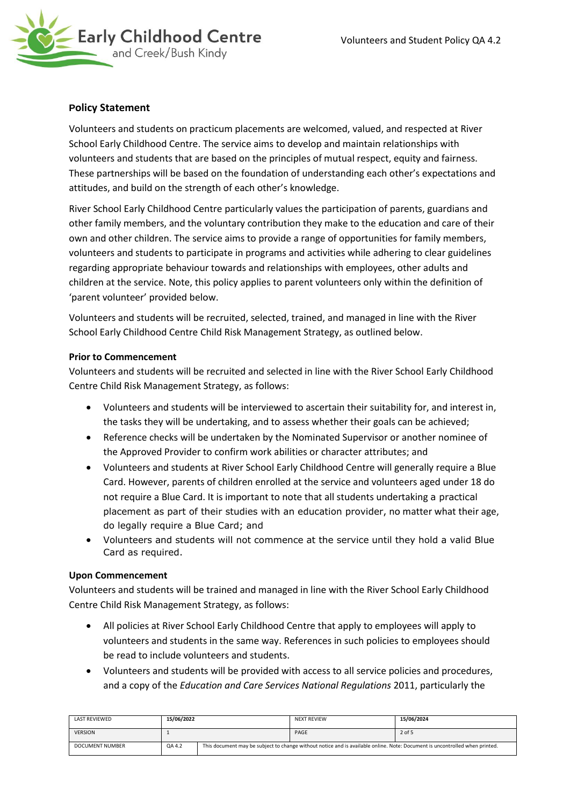

### **Policy Statement**

Volunteers and students on practicum placements are welcomed, valued, and respected at River School Early Childhood Centre. The service aims to develop and maintain relationships with volunteers and students that are based on the principles of mutual respect, equity and fairness. These partnerships will be based on the foundation of understanding each other's expectations and attitudes, and build on the strength of each other's knowledge.

River School Early Childhood Centre particularly values the participation of parents, guardians and other family members, and the voluntary contribution they make to the education and care of their own and other children. The service aims to provide a range of opportunities for family members, volunteers and students to participate in programs and activities while adhering to clear guidelines regarding appropriate behaviour towards and relationships with employees, other adults and children at the service. Note, this policy applies to parent volunteers only within the definition of 'parent volunteer' provided below.

Volunteers and students will be recruited, selected, trained, and managed in line with the River School Early Childhood Centre Child Risk Management Strategy, as outlined below.

#### **Prior to Commencement**

Volunteers and students will be recruited and selected in line with the River School Early Childhood Centre Child Risk Management Strategy, as follows:

- Volunteers and students will be interviewed to ascertain their suitability for, and interest in, the tasks they will be undertaking, and to assess whether their goals can be achieved;
- Reference checks will be undertaken by the Nominated Supervisor or another nominee of the Approved Provider to confirm work abilities or character attributes; and
- Volunteers and students at River School Early Childhood Centre will generally require a Blue Card. However, parents of children enrolled at the service and volunteers aged under 18 do not require a Blue Card. It is important to note that all students undertaking a practical placement as part of their studies with an education provider, no matter what their age, do legally require a Blue Card; and
- Volunteers and students will not commence at the service until they hold a valid Blue Card as required.

### **Upon Commencement**

Volunteers and students will be trained and managed in line with the River School Early Childhood Centre Child Risk Management Strategy, as follows:

- All policies at River School Early Childhood Centre that apply to employees will apply to volunteers and students in the same way. References in such policies to employees should be read to include volunteers and students.
- Volunteers and students will be provided with access to all service policies and procedures, and a copy of the *Education and Care Services National Regulations* 2011, particularly the

| LAST REVIEWED          | 15/06/2022 |                                                                                                                             | <b>NEXT REVIEW</b> | 15/06/2024 |
|------------------------|------------|-----------------------------------------------------------------------------------------------------------------------------|--------------------|------------|
| <b>VERSION</b>         |            |                                                                                                                             | PAGE               | 2 of 5     |
| <b>DOCUMENT NUMBER</b> | QA 4.2     | This document may be subject to change without notice and is available online. Note: Document is uncontrolled when printed. |                    |            |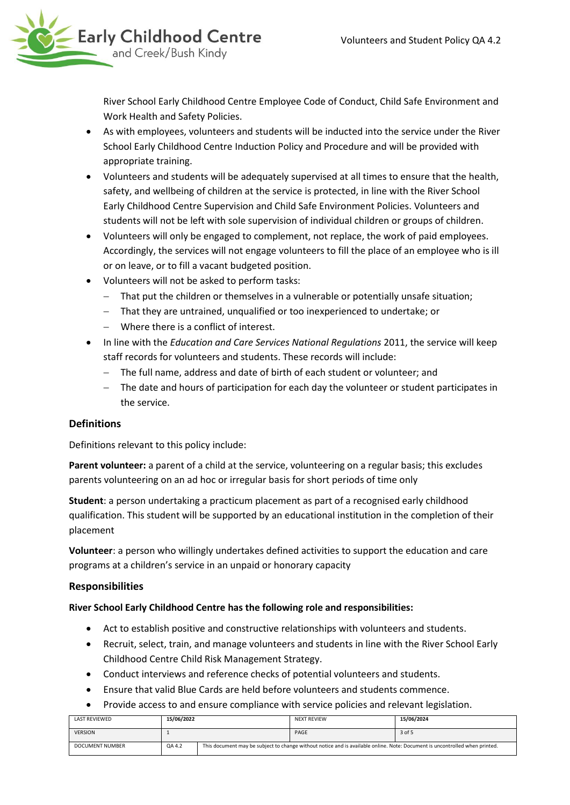

River School Early Childhood Centre Employee Code of Conduct, Child Safe Environment and Work Health and Safety Policies.

- As with employees, volunteers and students will be inducted into the service under the River School Early Childhood Centre Induction Policy and Procedure and will be provided with appropriate training.
- Volunteers and students will be adequately supervised at all times to ensure that the health, safety, and wellbeing of children at the service is protected, in line with the River School Early Childhood Centre Supervision and Child Safe Environment Policies. Volunteers and students will not be left with sole supervision of individual children or groups of children.
- Volunteers will only be engaged to complement, not replace, the work of paid employees. Accordingly, the services will not engage volunteers to fill the place of an employee who is ill or on leave, or to fill a vacant budgeted position.
- Volunteers will not be asked to perform tasks:
	- − That put the children or themselves in a vulnerable or potentially unsafe situation;
	- − That they are untrained, unqualified or too inexperienced to undertake; or
	- − Where there is a conflict of interest.
- In line with the *Education and Care Services National Regulations* 2011, the service will keep staff records for volunteers and students. These records will include:
	- − The full name, address and date of birth of each student or volunteer; and
	- − The date and hours of participation for each day the volunteer or student participates in the service.

### **Definitions**

Definitions relevant to this policy include:

**Parent volunteer:** a parent of a child at the service, volunteering on a regular basis; this excludes parents volunteering on an ad hoc or irregular basis for short periods of time only

**Student**: a person undertaking a practicum placement as part of a recognised early childhood qualification. This student will be supported by an educational institution in the completion of their placement

**Volunteer**: a person who willingly undertakes defined activities to support the education and care programs at a children's service in an unpaid or honorary capacity

### **Responsibilities**

### **River School Early Childhood Centre has the following role and responsibilities:**

- Act to establish positive and constructive relationships with volunteers and students.
- Recruit, select, train, and manage volunteers and students in line with the River School Early Childhood Centre Child Risk Management Strategy.
- Conduct interviews and reference checks of potential volunteers and students.
- Ensure that valid Blue Cards are held before volunteers and students commence.
- Provide access to and ensure compliance with service policies and relevant legislation.

| LAST REVIEWED   | 15/06/2022 |                                                                                                                             | <b>NEXT REVIEW</b> | 15/06/2024 |
|-----------------|------------|-----------------------------------------------------------------------------------------------------------------------------|--------------------|------------|
| <b>VERSION</b>  |            |                                                                                                                             | PAGE               | 3 of 5     |
| DOCUMENT NUMBER | QA 4.2     | This document may be subject to change without notice and is available online. Note: Document is uncontrolled when printed. |                    |            |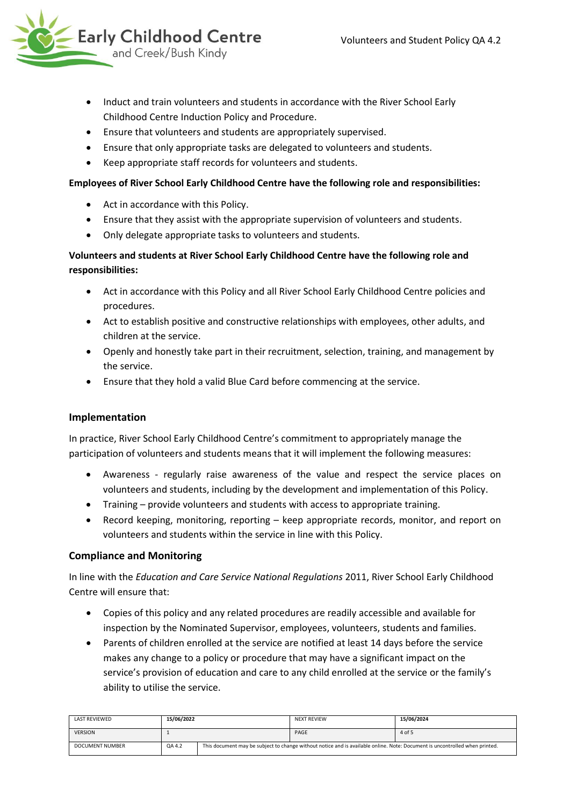

- Induct and train volunteers and students in accordance with the River School Early Childhood Centre Induction Policy and Procedure.
- Ensure that volunteers and students are appropriately supervised.
- Ensure that only appropriate tasks are delegated to volunteers and students.
- Keep appropriate staff records for volunteers and students.

#### **Employees of River School Early Childhood Centre have the following role and responsibilities:**

- Act in accordance with this Policy.
- Ensure that they assist with the appropriate supervision of volunteers and students.
- Only delegate appropriate tasks to volunteers and students.

## **Volunteers and students at River School Early Childhood Centre have the following role and responsibilities:**

- Act in accordance with this Policy and all River School Early Childhood Centre policies and procedures.
- Act to establish positive and constructive relationships with employees, other adults, and children at the service.
- Openly and honestly take part in their recruitment, selection, training, and management by the service.
- Ensure that they hold a valid Blue Card before commencing at the service.

### **Implementation**

In practice, River School Early Childhood Centre's commitment to appropriately manage the participation of volunteers and students means that it will implement the following measures:

- Awareness regularly raise awareness of the value and respect the service places on volunteers and students, including by the development and implementation of this Policy.
- Training provide volunteers and students with access to appropriate training.
- Record keeping, monitoring, reporting keep appropriate records, monitor, and report on volunteers and students within the service in line with this Policy.

### **Compliance and Monitoring**

In line with the *Education and Care Service National Regulations* 2011, River School Early Childhood Centre will ensure that:

- Copies of this policy and any related procedures are readily accessible and available for inspection by the Nominated Supervisor, employees, volunteers, students and families.
- Parents of children enrolled at the service are notified at least 14 days before the service makes any change to a policy or procedure that may have a significant impact on the service's provision of education and care to any child enrolled at the service or the family's ability to utilise the service.

| LAST REVIEWED   | 15/06/2022 |                                                                                                                             | <b>NEXT REVIEW</b> | 15/06/2024 |
|-----------------|------------|-----------------------------------------------------------------------------------------------------------------------------|--------------------|------------|
| <b>VERSION</b>  |            |                                                                                                                             | PAGE               | 4 of 5     |
| DOCUMENT NUMBER | QA 4.2     | This document may be subject to change without notice and is available online. Note: Document is uncontrolled when printed. |                    |            |